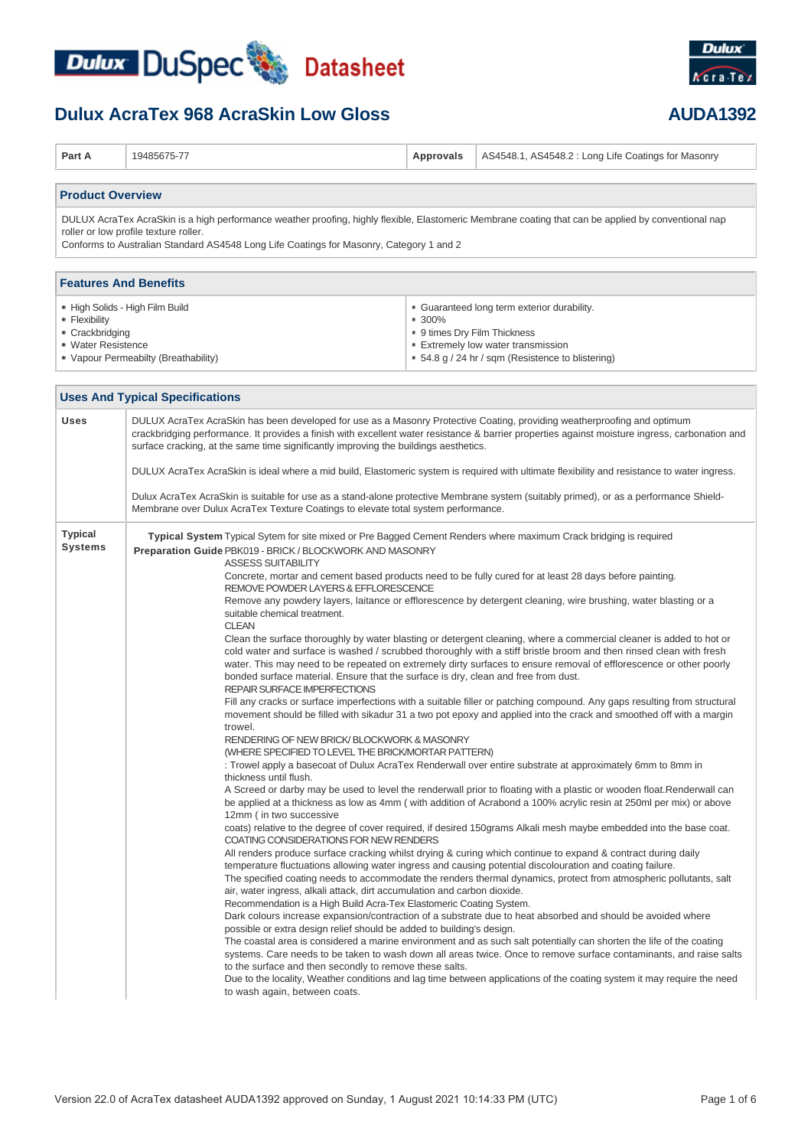

### **Dulux AcraTex 968 AcraSkin Low Gloss <b>AUDA1392**



| Part A                                                                                                                                                                                                                                                                                   | 19485675-77                                                                                                                                                                                                                                                                                                                                                                                                                                                                                                                                                                                                                                                                                                                                                                                                                                                                                                                                                                                                                                                                                                                                                                                                                                                                                                                                                                                                                                                                                                                                                                                                                                                                                                                                                                                                                                                                                                                                                                                                                                                                                                                                                                                                                                                                                                                                                                                                                                                                                                                                                                                                                                                                                                                                                                                                                                                                                                                                                                                                                                                                                                                                               | Approvals                                                                                                                                                                        | AS4548.1, AS4548.2 : Long Life Coatings for Masonry |  |  |
|------------------------------------------------------------------------------------------------------------------------------------------------------------------------------------------------------------------------------------------------------------------------------------------|-----------------------------------------------------------------------------------------------------------------------------------------------------------------------------------------------------------------------------------------------------------------------------------------------------------------------------------------------------------------------------------------------------------------------------------------------------------------------------------------------------------------------------------------------------------------------------------------------------------------------------------------------------------------------------------------------------------------------------------------------------------------------------------------------------------------------------------------------------------------------------------------------------------------------------------------------------------------------------------------------------------------------------------------------------------------------------------------------------------------------------------------------------------------------------------------------------------------------------------------------------------------------------------------------------------------------------------------------------------------------------------------------------------------------------------------------------------------------------------------------------------------------------------------------------------------------------------------------------------------------------------------------------------------------------------------------------------------------------------------------------------------------------------------------------------------------------------------------------------------------------------------------------------------------------------------------------------------------------------------------------------------------------------------------------------------------------------------------------------------------------------------------------------------------------------------------------------------------------------------------------------------------------------------------------------------------------------------------------------------------------------------------------------------------------------------------------------------------------------------------------------------------------------------------------------------------------------------------------------------------------------------------------------------------------------------------------------------------------------------------------------------------------------------------------------------------------------------------------------------------------------------------------------------------------------------------------------------------------------------------------------------------------------------------------------------------------------------------------------------------------------------------------------|----------------------------------------------------------------------------------------------------------------------------------------------------------------------------------|-----------------------------------------------------|--|--|
| <b>Product Overview</b>                                                                                                                                                                                                                                                                  |                                                                                                                                                                                                                                                                                                                                                                                                                                                                                                                                                                                                                                                                                                                                                                                                                                                                                                                                                                                                                                                                                                                                                                                                                                                                                                                                                                                                                                                                                                                                                                                                                                                                                                                                                                                                                                                                                                                                                                                                                                                                                                                                                                                                                                                                                                                                                                                                                                                                                                                                                                                                                                                                                                                                                                                                                                                                                                                                                                                                                                                                                                                                                           |                                                                                                                                                                                  |                                                     |  |  |
| DULUX AcraTex AcraSkin is a high performance weather proofing, highly flexible, Elastomeric Membrane coating that can be applied by conventional nap<br>roller or low profile texture roller.<br>Conforms to Australian Standard AS4548 Long Life Coatings for Masonry, Category 1 and 2 |                                                                                                                                                                                                                                                                                                                                                                                                                                                                                                                                                                                                                                                                                                                                                                                                                                                                                                                                                                                                                                                                                                                                                                                                                                                                                                                                                                                                                                                                                                                                                                                                                                                                                                                                                                                                                                                                                                                                                                                                                                                                                                                                                                                                                                                                                                                                                                                                                                                                                                                                                                                                                                                                                                                                                                                                                                                                                                                                                                                                                                                                                                                                                           |                                                                                                                                                                                  |                                                     |  |  |
| <b>Features And Benefits</b>                                                                                                                                                                                                                                                             |                                                                                                                                                                                                                                                                                                                                                                                                                                                                                                                                                                                                                                                                                                                                                                                                                                                                                                                                                                                                                                                                                                                                                                                                                                                                                                                                                                                                                                                                                                                                                                                                                                                                                                                                                                                                                                                                                                                                                                                                                                                                                                                                                                                                                                                                                                                                                                                                                                                                                                                                                                                                                                                                                                                                                                                                                                                                                                                                                                                                                                                                                                                                                           |                                                                                                                                                                                  |                                                     |  |  |
| • High Solids - High Film Build<br>• Flexibility<br>• Crackbridging<br>• Water Resistence<br>• Vapour Permeabilty (Breathability)                                                                                                                                                        |                                                                                                                                                                                                                                                                                                                                                                                                                                                                                                                                                                                                                                                                                                                                                                                                                                                                                                                                                                                                                                                                                                                                                                                                                                                                                                                                                                                                                                                                                                                                                                                                                                                                                                                                                                                                                                                                                                                                                                                                                                                                                                                                                                                                                                                                                                                                                                                                                                                                                                                                                                                                                                                                                                                                                                                                                                                                                                                                                                                                                                                                                                                                                           | • Guaranteed long term exterior durability.<br>■ 300%<br>• 9 times Dry Film Thickness<br>• Extremely low water transmission<br>• 54.8 g / 24 hr / sqm (Resistence to blistering) |                                                     |  |  |
|                                                                                                                                                                                                                                                                                          | <b>Uses And Typical Specifications</b>                                                                                                                                                                                                                                                                                                                                                                                                                                                                                                                                                                                                                                                                                                                                                                                                                                                                                                                                                                                                                                                                                                                                                                                                                                                                                                                                                                                                                                                                                                                                                                                                                                                                                                                                                                                                                                                                                                                                                                                                                                                                                                                                                                                                                                                                                                                                                                                                                                                                                                                                                                                                                                                                                                                                                                                                                                                                                                                                                                                                                                                                                                                    |                                                                                                                                                                                  |                                                     |  |  |
| Uses                                                                                                                                                                                                                                                                                     | DULUX AcraTex AcraSkin has been developed for use as a Masonry Protective Coating, providing weatherproofing and optimum<br>crackbridging performance. It provides a finish with excellent water resistance & barrier properties against moisture ingress, carbonation and<br>surface cracking, at the same time significantly improving the buildings aesthetics.<br>DULUX AcraTex AcraSkin is ideal where a mid build, Elastomeric system is required with ultimate flexibility and resistance to water ingress.<br>Dulux AcraTex AcraSkin is suitable for use as a stand-alone protective Membrane system (suitably primed), or as a performance Shield-<br>Membrane over Dulux AcraTex Texture Coatings to elevate total system performance.                                                                                                                                                                                                                                                                                                                                                                                                                                                                                                                                                                                                                                                                                                                                                                                                                                                                                                                                                                                                                                                                                                                                                                                                                                                                                                                                                                                                                                                                                                                                                                                                                                                                                                                                                                                                                                                                                                                                                                                                                                                                                                                                                                                                                                                                                                                                                                                                          |                                                                                                                                                                                  |                                                     |  |  |
| <b>Typical</b><br>Systems                                                                                                                                                                                                                                                                | Typical System Typical Sytem for site mixed or Pre Bagged Cement Renders where maximum Crack bridging is required<br>Preparation Guide PBK019 - BRICK / BLOCKWORK AND MASONRY<br><b>ASSESS SUITABILITY</b><br>Concrete, mortar and cement based products need to be fully cured for at least 28 days before painting.<br>REMOVE POWDER LAYERS & EFFLORESCENCE<br>Remove any powdery layers, laitance or efflorescence by detergent cleaning, wire brushing, water blasting or a<br>suitable chemical treatment.<br><b>CLEAN</b><br>Clean the surface thoroughly by water blasting or detergent cleaning, where a commercial cleaner is added to hot or<br>cold water and surface is washed / scrubbed thoroughly with a stiff bristle broom and then rinsed clean with fresh<br>water. This may need to be repeated on extremely dirty surfaces to ensure removal of efflorescence or other poorly<br>bonded surface material. Ensure that the surface is dry, clean and free from dust.<br><b>REPAIR SURFACE IMPERFECTIONS</b><br>Fill any cracks or surface imperfections with a suitable filler or patching compound. Any gaps resulting from structural<br>movement should be filled with sikadur 31 a two pot epoxy and applied into the crack and smoothed off with a margin<br>trowel.<br>RENDERING OF NEW BRICK/BLOCKWORK & MASONRY<br>(WHERE SPECIFIED TO LEVEL THE BRICK/MORTAR PATTERN)<br>: Trowel apply a basecoat of Dulux AcraTex Renderwall over entire substrate at approximately 6mm to 8mm in<br>thickness until flush.<br>A Screed or darby may be used to level the renderwall prior to floating with a plastic or wooden float. Renderwall can<br>be applied at a thickness as low as 4mm (with addition of Acrabond a 100% acrylic resin at 250ml per mix) or above<br>12mm (in two successive<br>coats) relative to the degree of cover required, if desired 150grams Alkali mesh maybe embedded into the base coat.<br>COATING CONSIDERATIONS FOR NEW RENDERS<br>All renders produce surface cracking whilst drying & curing which continue to expand & contract during daily<br>temperature fluctuations allowing water ingress and causing potential discolouration and coating failure.<br>The specified coating needs to accommodate the renders thermal dynamics, protect from atmospheric pollutants, salt<br>air, water ingress, alkali attack, dirt accumulation and carbon dioxide.<br>Recommendation is a High Build Acra-Tex Elastomeric Coating System.<br>Dark colours increase expansion/contraction of a substrate due to heat absorbed and should be avoided where<br>possible or extra design relief should be added to building's design.<br>The coastal area is considered a marine environment and as such salt potentially can shorten the life of the coating<br>systems. Care needs to be taken to wash down all areas twice. Once to remove surface contaminants, and raise salts<br>to the surface and then secondly to remove these salts.<br>Due to the locality, Weather conditions and lag time between applications of the coating system it may require the need<br>to wash again, between coats. |                                                                                                                                                                                  |                                                     |  |  |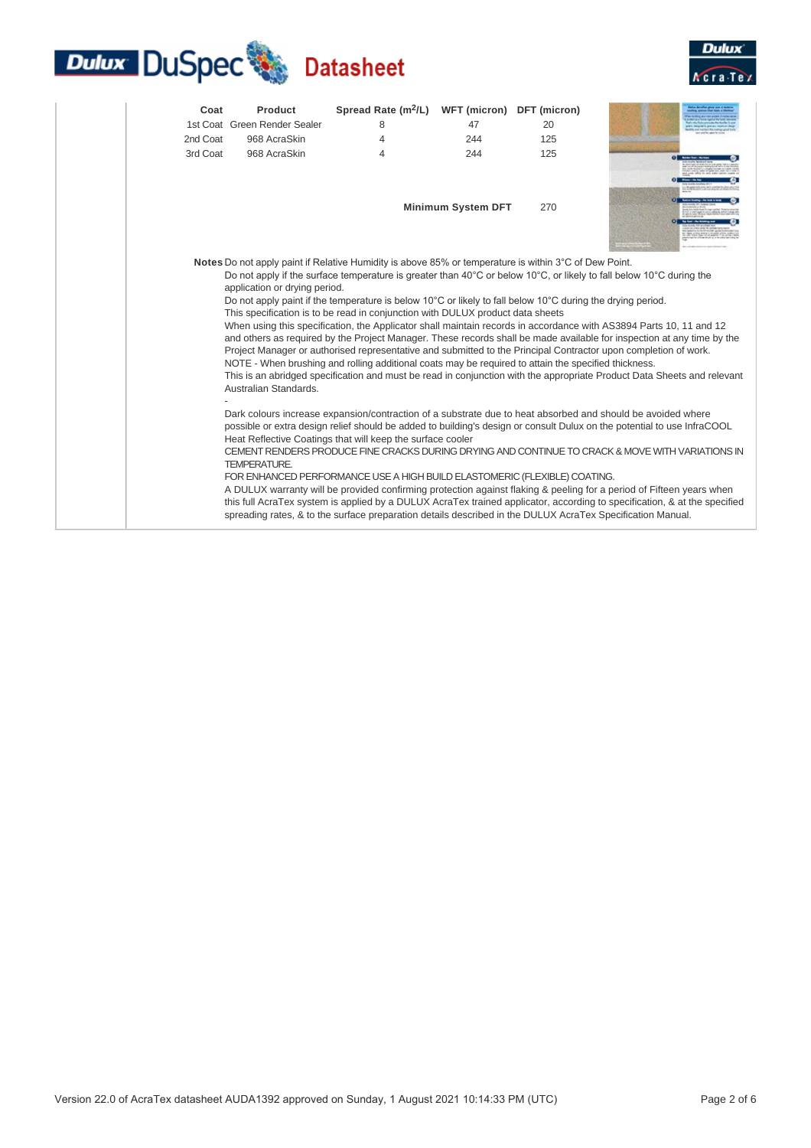## **Dulux DuSpec** Datasheet



| Coat     | Product                                                                                                                                                                                                                                                                                                                                                                                                                                                                                                                                                                                                                                                                                                                                                                                                                                                                                                                                                                                                                                                                                                                                                                                                                                                                                                                                                                                                                                                                                                                                                                                                                                                                                                                                                                                                                                                                                                                                                                                             | Spread Rate $(m^2/L)$ | WFT (micron) DFT (micron) |     |  |
|----------|-----------------------------------------------------------------------------------------------------------------------------------------------------------------------------------------------------------------------------------------------------------------------------------------------------------------------------------------------------------------------------------------------------------------------------------------------------------------------------------------------------------------------------------------------------------------------------------------------------------------------------------------------------------------------------------------------------------------------------------------------------------------------------------------------------------------------------------------------------------------------------------------------------------------------------------------------------------------------------------------------------------------------------------------------------------------------------------------------------------------------------------------------------------------------------------------------------------------------------------------------------------------------------------------------------------------------------------------------------------------------------------------------------------------------------------------------------------------------------------------------------------------------------------------------------------------------------------------------------------------------------------------------------------------------------------------------------------------------------------------------------------------------------------------------------------------------------------------------------------------------------------------------------------------------------------------------------------------------------------------------------|-----------------------|---------------------------|-----|--|
|          | 1st Coat Green Render Sealer                                                                                                                                                                                                                                                                                                                                                                                                                                                                                                                                                                                                                                                                                                                                                                                                                                                                                                                                                                                                                                                                                                                                                                                                                                                                                                                                                                                                                                                                                                                                                                                                                                                                                                                                                                                                                                                                                                                                                                        | 8                     | 47                        | 20  |  |
| 2nd Coat | 968 AcraSkin                                                                                                                                                                                                                                                                                                                                                                                                                                                                                                                                                                                                                                                                                                                                                                                                                                                                                                                                                                                                                                                                                                                                                                                                                                                                                                                                                                                                                                                                                                                                                                                                                                                                                                                                                                                                                                                                                                                                                                                        | 4                     | 244                       | 125 |  |
| 3rd Coat | 968 AcraSkin                                                                                                                                                                                                                                                                                                                                                                                                                                                                                                                                                                                                                                                                                                                                                                                                                                                                                                                                                                                                                                                                                                                                                                                                                                                                                                                                                                                                                                                                                                                                                                                                                                                                                                                                                                                                                                                                                                                                                                                        | 4                     | 244                       | 125 |  |
|          |                                                                                                                                                                                                                                                                                                                                                                                                                                                                                                                                                                                                                                                                                                                                                                                                                                                                                                                                                                                                                                                                                                                                                                                                                                                                                                                                                                                                                                                                                                                                                                                                                                                                                                                                                                                                                                                                                                                                                                                                     |                       | <b>Minimum System DFT</b> | 270 |  |
|          | Notes Do not apply paint if Relative Humidity is above 85% or temperature is within 3°C of Dew Point.<br>Do not apply if the surface temperature is greater than 40°C or below 10°C, or likely to fall below 10°C during the<br>application or drying period.<br>Do not apply paint if the temperature is below $10^{\circ}$ C or likely to fall below $10^{\circ}$ C during the drying period.<br>This specification is to be read in conjunction with DULUX product data sheets<br>When using this specification, the Applicator shall maintain records in accordance with AS3894 Parts 10, 11 and 12<br>and others as required by the Project Manager. These records shall be made available for inspection at any time by the<br>Project Manager or authorised representative and submitted to the Principal Contractor upon completion of work.<br>NOTE - When brushing and rolling additional coats may be required to attain the specified thickness.<br>This is an abridged specification and must be read in conjunction with the appropriate Product Data Sheets and relevant<br>Australian Standards.<br>Dark colours increase expansion/contraction of a substrate due to heat absorbed and should be avoided where<br>possible or extra design relief should be added to building's design or consult Dulux on the potential to use InfraCOOL<br>Heat Reflective Coatings that will keep the surface cooler<br>CEMENT RENDERS PRODUCE FINE CRACKS DURING DRYING AND CONTINUE TO CRACK & MOVE WITH VARIATIONS IN<br><b>TEMPERATURE.</b><br>FOR ENHANCED PERFORMANCE USE A HIGH BUILD ELASTOMERIC (FLEXIBLE) COATING.<br>A DULUX warranty will be provided confirming protection against flaking & peeling for a period of Fifteen years when<br>this full AcraTex system is applied by a DULUX AcraTex trained applicator, according to specification, & at the specified<br>spreading rates, & to the surface preparation details described in the DULUX AcraTex Specification Manual. |                       |                           |     |  |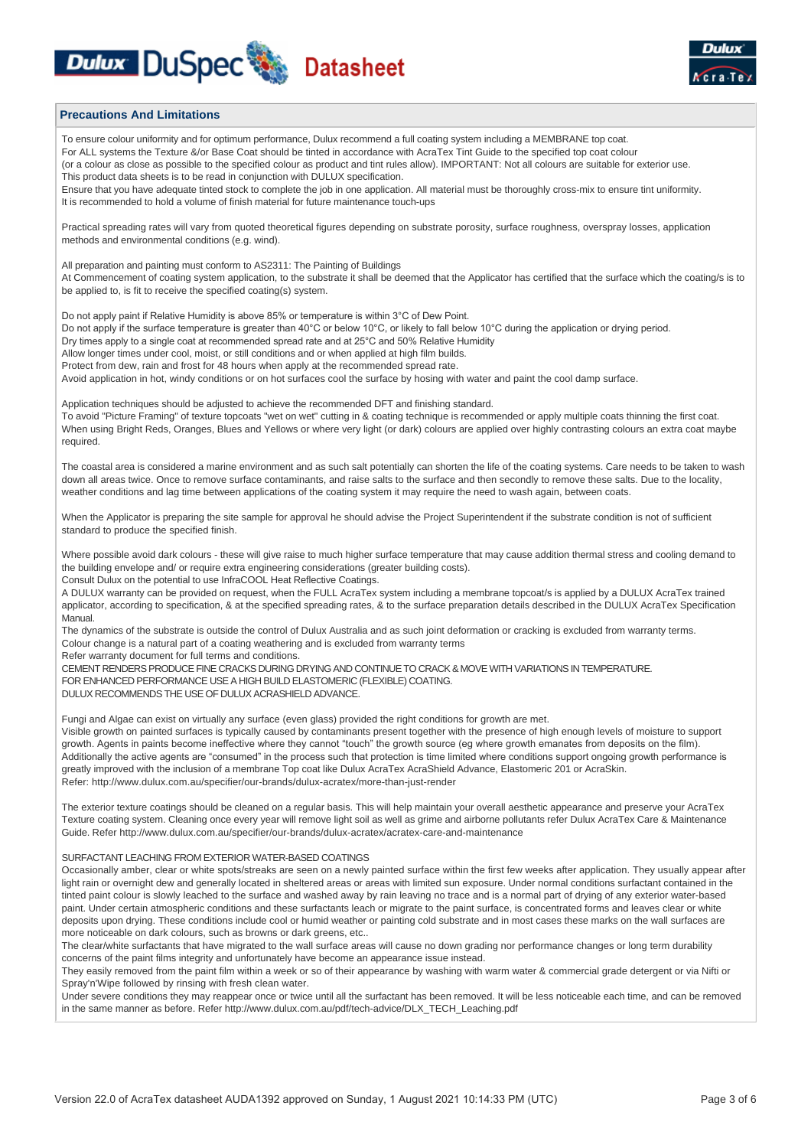### **Dulux DuSpec Web Datasheet**



#### **Precautions And Limitations**

To ensure colour uniformity and for optimum performance, Dulux recommend a full coating system including a MEMBRANE top coat. For ALL systems the Texture &/or Base Coat should be tinted in accordance with AcraTex Tint Guide to the specified top coat colour (or a colour as close as possible to the specified colour as product and tint rules allow). IMPORTANT: Not all colours are suitable for exterior use. This product data sheets is to be read in conjunction with DULUX specification. Ensure that you have adequate tinted stock to complete the job in one application. All material must be thoroughly cross-mix to ensure tint uniformity. It is recommended to hold a volume of finish material for future maintenance touch-ups

Practical spreading rates will vary from quoted theoretical figures depending on substrate porosity, surface roughness, overspray losses, application methods and environmental conditions (e.g. wind).

All preparation and painting must conform to AS2311: The Painting of Buildings At Commencement of coating system application, to the substrate it shall be deemed that the Applicator has certified that the surface which the coating/s is to be applied to, is fit to receive the specified coating(s) system.

Do not apply paint if Relative Humidity is above 85% or temperature is within 3°C of Dew Point. Do not apply if the surface temperature is greater than 40°C or below 10°C, or likely to fall below 10°C during the application or drying period. Dry times apply to a single coat at recommended spread rate and at 25°C and 50% Relative Humidity Allow longer times under cool, moist, or still conditions and or when applied at high film builds. Protect from dew, rain and frost for 48 hours when apply at the recommended spread rate Avoid application in hot, windy conditions or on hot surfaces cool the surface by hosing with water and paint the cool damp surface.

Application techniques should be adjusted to achieve the recommended DFT and finishing standard. To avoid "Picture Framing" of texture topcoats "wet on wet" cutting in & coating technique is recommended or apply multiple coats thinning the first coat. When using Bright Reds, Oranges, Blues and Yellows or where very light (or dark) colours are applied over highly contrasting colours an extra coat maybe required.

The coastal area is considered a marine environment and as such salt potentially can shorten the life of the coating systems. Care needs to be taken to wash down all areas twice. Once to remove surface contaminants, and raise salts to the surface and then secondly to remove these salts. Due to the locality, weather conditions and lag time between applications of the coating system it may require the need to wash again, between coats.

When the Applicator is preparing the site sample for approval he should advise the Project Superintendent if the substrate condition is not of sufficient standard to produce the specified finish.

Where possible avoid dark colours - these will give raise to much higher surface temperature that may cause addition thermal stress and cooling demand to the building envelope and/ or require extra engineering considerations (greater building costs).

Consult Dulux on the potential to use InfraCOOL Heat Reflective Coatings.

A DULUX warranty can be provided on request, when the FULL AcraTex system including a membrane topcoat/s is applied by a DULUX AcraTex trained applicator, according to specification, & at the specified spreading rates, & to the surface preparation details described in the DULUX AcraTex Specification Manual.

The dynamics of the substrate is outside the control of Dulux Australia and as such joint deformation or cracking is excluded from warranty terms. Colour change is a natural part of a coating weathering and is excluded from warranty terms

Refer warranty document for full terms and conditions.

CEMENT RENDERS PRODUCE FINE CRACKS DURING DRYING AND CONTINUE TO CRACK & MOVE WITH VARIATIONS IN TEMPERATURE. FOR ENHANCED PERFORMANCE USE A HIGH BUILD ELASTOMERIC (FLEXIBLE) COATING.

DULUX RECOMMENDS THE USE OF DULUX ACRASHIELD ADVANCE.

Fungi and Algae can exist on virtually any surface (even glass) provided the right conditions for growth are met.

Visible growth on painted surfaces is typically caused by contaminants present together with the presence of high enough levels of moisture to support growth. Agents in paints become ineffective where they cannot "touch" the growth source (eg where growth emanates from deposits on the film). Additionally the active agents are "consumed" in the process such that protection is time limited where conditions support ongoing growth performance is greatly improved with the inclusion of a membrane Top coat like Dulux AcraTex AcraShield Advance, Elastomeric 201 or AcraSkin. Refer: http://www.dulux.com.au/specifier/our-brands/dulux-acratex/more-than-just-render

The exterior texture coatings should be cleaned on a regular basis. This will help maintain your overall aesthetic appearance and preserve your AcraTex Texture coating system. Cleaning once every year will remove light soil as well as grime and airborne pollutants refer Dulux AcraTex Care & Maintenance Guide. Refer http://www.dulux.com.au/specifier/our-brands/dulux-acratex/acratex-care-and-maintenance

#### SURFACTANT LEACHING FROM EXTERIOR WATER-BASED COATINGS

Occasionally amber, clear or white spots/streaks are seen on a newly painted surface within the first few weeks after application. They usually appear after light rain or overnight dew and generally located in sheltered areas or areas with limited sun exposure. Under normal conditions surfactant contained in the tinted paint colour is slowly leached to the surface and washed away by rain leaving no trace and is a normal part of drying of any exterior water-based paint. Under certain atmospheric conditions and these surfactants leach or migrate to the paint surface, is concentrated forms and leaves clear or white deposits upon drying. These conditions include cool or humid weather or painting cold substrate and in most cases these marks on the wall surfaces are more noticeable on dark colours, such as browns or dark greens, etc..

The clear/white surfactants that have migrated to the wall surface areas will cause no down grading nor performance changes or long term durability concerns of the paint films integrity and unfortunately have become an appearance issue instead.

They easily removed from the paint film within a week or so of their appearance by washing with warm water & commercial grade detergent or via Nifti or Spray'n'Wipe followed by rinsing with fresh clean water.

Under severe conditions they may reappear once or twice until all the surfactant has been removed. It will be less noticeable each time, and can be removed in the same manner as before. Refer http://www.dulux.com.au/pdf/tech-advice/DLX\_TECH\_Leaching.pdf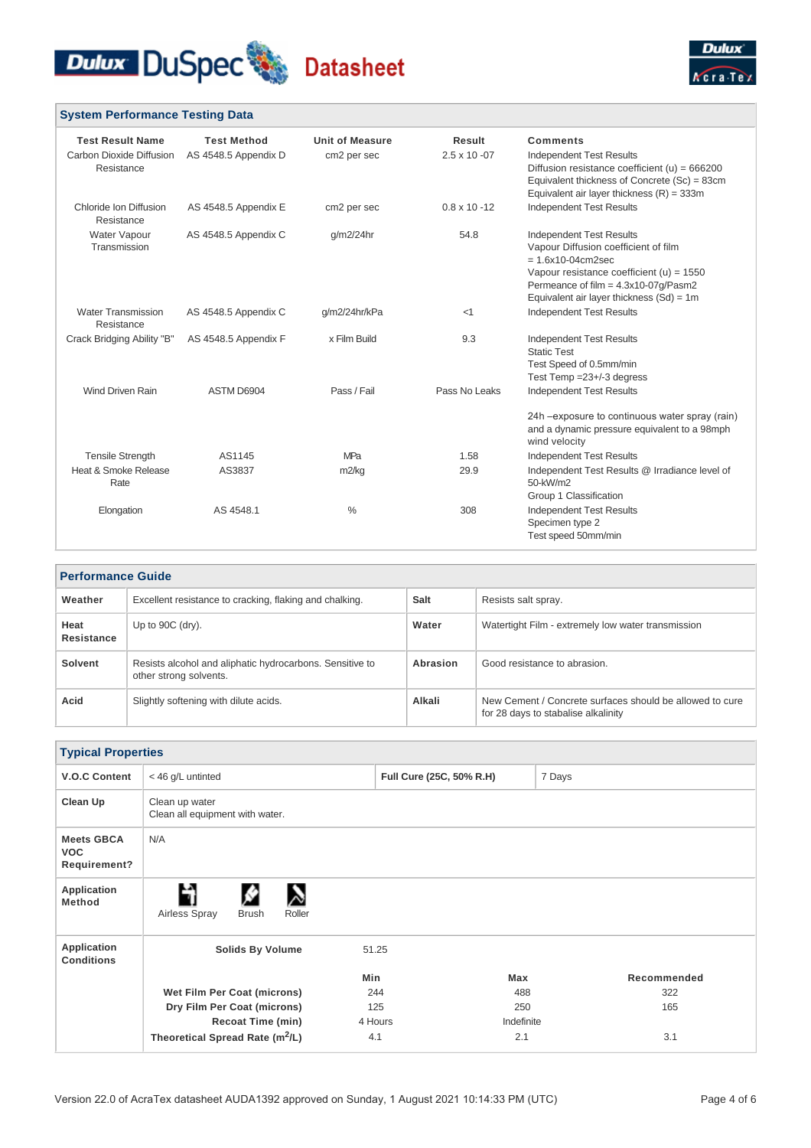



#### **System Performance Testing Data Test Result Name Test Method Unit of Measure Result Comments** Carbon Dioxide Diffusion AS 4548.5 Appendix D Resistance cm2 per sec 2.5 x 10 -07 Independent Test Results

| Resistance                              |                      |               |                      | Diffusion resistance coefficient (u) = $666200$<br>Equivalent thickness of Concrete (Sc) = 83cm<br>Equivalent air layer thickness $(R) = 333m$                                                                                       |
|-----------------------------------------|----------------------|---------------|----------------------|--------------------------------------------------------------------------------------------------------------------------------------------------------------------------------------------------------------------------------------|
| Chloride Ion Diffusion<br>Resistance    | AS 4548.5 Appendix E | cm2 per sec   | $0.8 \times 10 - 12$ | <b>Independent Test Results</b>                                                                                                                                                                                                      |
| Water Vapour<br>Transmission            | AS 4548.5 Appendix C | $q/m2/24$ hr  | 54.8                 | <b>Independent Test Results</b><br>Vapour Diffusion coefficient of film<br>$= 1.6x10-04cm2sec$<br>Vapour resistance coefficient (u) = $1550$<br>Permeance of film = $4.3x10-07q/Pasm2$<br>Equivalent air layer thickness $(Sd) = 1m$ |
| <b>Water Transmission</b><br>Resistance | AS 4548.5 Appendix C | g/m2/24hr/kPa | $<$ 1                | <b>Independent Test Results</b>                                                                                                                                                                                                      |
| Crack Bridging Ability "B"              | AS 4548.5 Appendix F | x Film Build  | 9.3                  | <b>Independent Test Results</b><br><b>Static Test</b><br>Test Speed of 0.5mm/min<br>Test Temp $=23+/3$ degress                                                                                                                       |
| <b>Wind Driven Rain</b>                 | ASTM D6904           | Pass / Fail   | Pass No Leaks        | <b>Independent Test Results</b><br>24h - exposure to continuous water spray (rain)                                                                                                                                                   |
|                                         |                      |               |                      | and a dynamic pressure equivalent to a 98mph<br>wind velocity                                                                                                                                                                        |
| <b>Tensile Strength</b>                 | AS1145               | <b>MPa</b>    | 1.58                 | <b>Independent Test Results</b>                                                                                                                                                                                                      |
| Heat & Smoke Release<br>Rate            | AS3837               | m2/kg         | 29.9                 | Independent Test Results @ Irradiance level of<br>50-kW/m2<br>Group 1 Classification                                                                                                                                                 |
| Elongation                              | AS 4548.1            | $\%$          | 308                  | <b>Independent Test Results</b><br>Specimen type 2<br>Test speed 50mm/min                                                                                                                                                            |

| <b>Performance Guide</b> |                                                                                    |             |                                                                                                 |  |
|--------------------------|------------------------------------------------------------------------------------|-------------|-------------------------------------------------------------------------------------------------|--|
| Weather                  | Excellent resistance to cracking, flaking and chalking.                            | <b>Salt</b> | Resists salt spray.                                                                             |  |
| Heat<br>Resistance       | Up to $90C$ (dry).                                                                 | Water       | Watertight Film - extremely low water transmission                                              |  |
| Solvent                  | Resists alcohol and aliphatic hydrocarbons. Sensitive to<br>other strong solvents. | Abrasion    | Good resistance to abrasion.                                                                    |  |
| Acid                     | Slightly softening with dilute acids.                                              | Alkali      | New Cement / Concrete surfaces should be allowed to cure<br>for 28 days to stabalise alkalinity |  |

| <b>Typical Properties</b>                       |                                                   |                          |            |             |
|-------------------------------------------------|---------------------------------------------------|--------------------------|------------|-------------|
| <b>V.O.C Content</b>                            | < 46 g/L untinted                                 | Full Cure (25C, 50% R.H) |            | 7 Days      |
| Clean Up                                        | Clean up water<br>Clean all equipment with water. |                          |            |             |
| <b>Meets GBCA</b><br><b>VOC</b><br>Requirement? | N/A                                               |                          |            |             |
| Application<br><b>Method</b>                    | Н<br>Airless Spray<br>Roller<br><b>Brush</b>      |                          |            |             |
| Application<br><b>Conditions</b>                | <b>Solids By Volume</b>                           | 51.25                    |            |             |
|                                                 |                                                   | Min                      | Max        | Recommended |
|                                                 | Wet Film Per Coat (microns)                       | 244                      | 488        | 322         |
|                                                 | Dry Film Per Coat (microns)                       | 125                      | 250        | 165         |
|                                                 | <b>Recoat Time (min)</b>                          | 4 Hours                  | Indefinite |             |
|                                                 | Theoretical Spread Rate (m <sup>2</sup> /L)       | 4.1                      | 2.1        | 3.1         |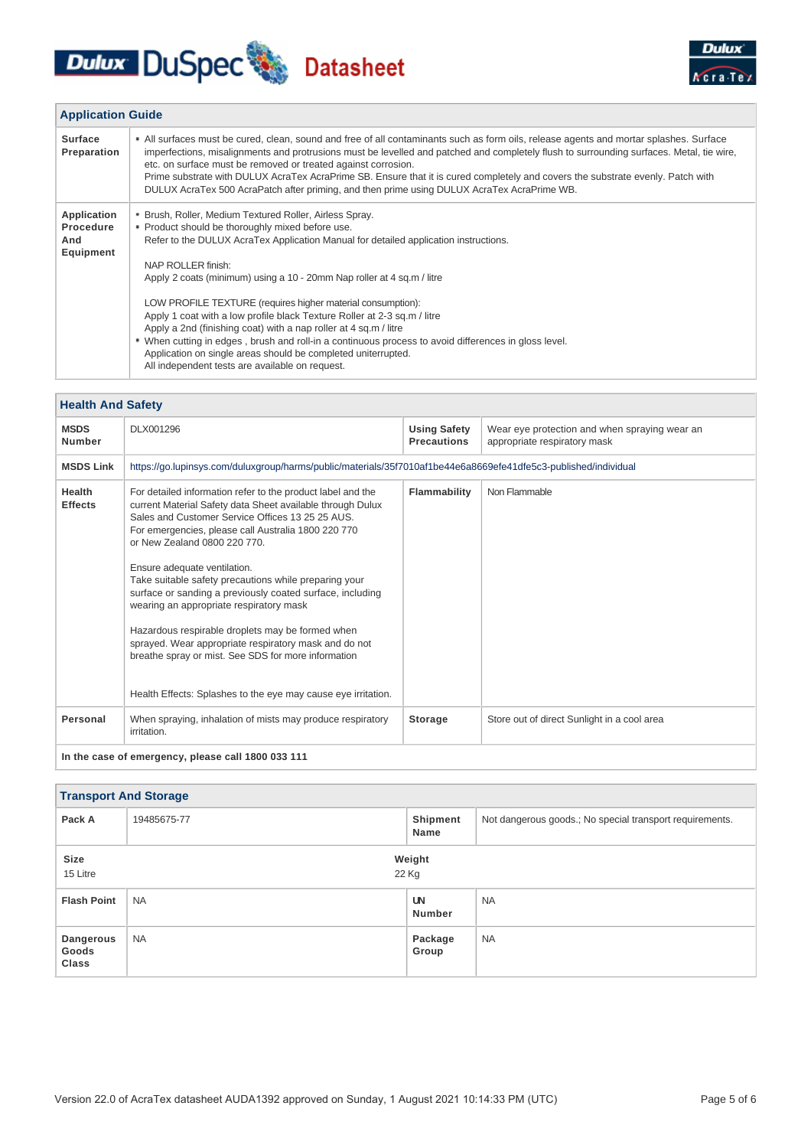# Dulux DuSpec Datasheet



| <b>Application Guide</b>                     |                                                                                                                                                                                                                                                                                                                                                                                                                                                                                                                                                                                       |  |  |  |
|----------------------------------------------|---------------------------------------------------------------------------------------------------------------------------------------------------------------------------------------------------------------------------------------------------------------------------------------------------------------------------------------------------------------------------------------------------------------------------------------------------------------------------------------------------------------------------------------------------------------------------------------|--|--|--|
| <b>Surface</b><br>Preparation                | • All surfaces must be cured, clean, sound and free of all contaminants such as form oils, release agents and mortar splashes. Surface<br>imperfections, misalignments and protrusions must be levelled and patched and completely flush to surrounding surfaces. Metal, tie wire,<br>etc. on surface must be removed or treated against corrosion.<br>Prime substrate with DULUX AcraTex AcraPrime SB. Ensure that it is cured completely and covers the substrate evenly. Patch with<br>DULUX AcraTex 500 AcraPatch after priming, and then prime using DULUX AcraTex AcraPrime WB. |  |  |  |
| Application<br>Procedure<br>And<br>Equipment | • Brush, Roller, Medium Textured Roller, Airless Spray.<br>• Product should be thoroughly mixed before use.<br>Refer to the DULUX AcraTex Application Manual for detailed application instructions.<br>NAP ROLLER finish:<br>Apply 2 coats (minimum) using a 10 - 20mm Nap roller at 4 sq.m / litre                                                                                                                                                                                                                                                                                   |  |  |  |
|                                              | LOW PROFILE TEXTURE (requires higher material consumption):<br>Apply 1 coat with a low profile black Texture Roller at 2-3 sq.m / litre<br>Apply a 2nd (finishing coat) with a nap roller at 4 sq.m / litre<br>. When cutting in edges, brush and roll-in a continuous process to avoid differences in gloss level.<br>Application on single areas should be completed uniterrupted.<br>All independent tests are available on request.                                                                                                                                               |  |  |  |

| <b>Health And Safety</b>                           |                                                                                                                                                                                                                                                                                                                                                                                                                                                                                                                                                                                                                                                                                                            |                                           |                                                                               |  |
|----------------------------------------------------|------------------------------------------------------------------------------------------------------------------------------------------------------------------------------------------------------------------------------------------------------------------------------------------------------------------------------------------------------------------------------------------------------------------------------------------------------------------------------------------------------------------------------------------------------------------------------------------------------------------------------------------------------------------------------------------------------------|-------------------------------------------|-------------------------------------------------------------------------------|--|
| <b>MSDS</b><br><b>Number</b>                       | DLX001296                                                                                                                                                                                                                                                                                                                                                                                                                                                                                                                                                                                                                                                                                                  | <b>Using Safety</b><br><b>Precautions</b> | Wear eye protection and when spraying wear an<br>appropriate respiratory mask |  |
| <b>MSDS Link</b>                                   | https://go.lupinsys.com/duluxgroup/harms/public/materials/35f7010af1be44e6a8669efe41dfe5c3-published/individual                                                                                                                                                                                                                                                                                                                                                                                                                                                                                                                                                                                            |                                           |                                                                               |  |
| <b>Health</b><br><b>Effects</b>                    | For detailed information refer to the product label and the<br>current Material Safety data Sheet available through Dulux<br>Sales and Customer Service Offices 13 25 25 AUS.<br>For emergencies, please call Australia 1800 220 770<br>or New Zealand 0800 220 770.<br>Ensure adequate ventilation.<br>Take suitable safety precautions while preparing your<br>surface or sanding a previously coated surface, including<br>wearing an appropriate respiratory mask<br>Hazardous respirable droplets may be formed when<br>sprayed. Wear appropriate respiratory mask and do not<br>breathe spray or mist. See SDS for more information<br>Health Effects: Splashes to the eye may cause eye irritation. | Flammability                              | Non Flammable                                                                 |  |
| Personal                                           | When spraying, inhalation of mists may produce respiratory<br>irritation.                                                                                                                                                                                                                                                                                                                                                                                                                                                                                                                                                                                                                                  | <b>Storage</b>                            | Store out of direct Sunlight in a cool area                                   |  |
| In the case of emergency, please call 1800 033 111 |                                                                                                                                                                                                                                                                                                                                                                                                                                                                                                                                                                                                                                                                                                            |                                           |                                                                               |  |

| <b>Transport And Storage</b>       |                 |                            |                                                          |  |
|------------------------------------|-----------------|----------------------------|----------------------------------------------------------|--|
| Pack A                             | 19485675-77     | Shipment<br>Name           | Not dangerous goods.; No special transport requirements. |  |
| Size<br>15 Litre                   | Weight<br>22 Kg |                            |                                                          |  |
| <b>Flash Point</b>                 | <b>NA</b>       | <b>UN</b><br><b>Number</b> | <b>NA</b>                                                |  |
| Dangerous<br>Goods<br><b>Class</b> | <b>NA</b>       | Package<br>Group           | <b>NA</b>                                                |  |